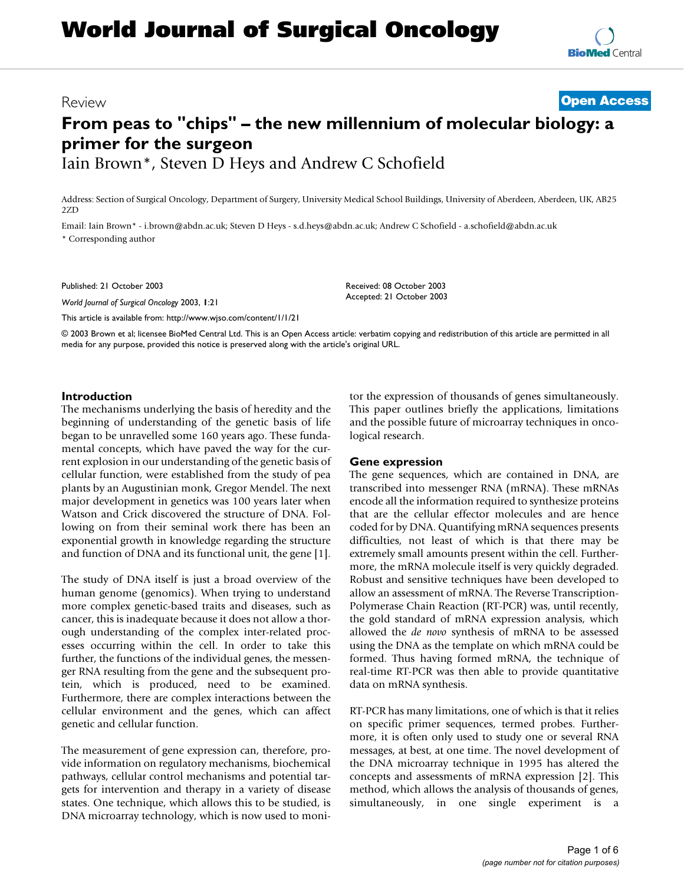# **World Journal of Surgical Oncology**

## Review **[Open Access](http://www.biomedcentral.com/info/about/charter/) From peas to "chips" – the new millennium of molecular biology: a primer for the surgeon**

Iain Brown\*, Steven D Heys and Andrew C Schofield

Address: Section of Surgical Oncology, Department of Surgery, University Medical School Buildings, University of Aberdeen, Aberdeen, UK, AB25 2ZD

Email: Iain Brown\* - i.brown@abdn.ac.uk; Steven D Heys - s.d.heys@abdn.ac.uk; Andrew C Schofield - a.schofield@abdn.ac.uk \* Corresponding author

Published: 21 October 2003

*World Journal of Surgical Oncology* 2003, **1**:21

[This article is available from: http://www.wjso.com/content/1/1/21](http://www.wjso.com/content/1/1/21)

Received: 08 October 2003 Accepted: 21 October 2003

© 2003 Brown et al; licensee BioMed Central Ltd. This is an Open Access article: verbatim copying and redistribution of this article are permitted in all media for any purpose, provided this notice is preserved along with the article's original URL.

#### **Introduction**

The mechanisms underlying the basis of heredity and the beginning of understanding of the genetic basis of life began to be unravelled some 160 years ago. These fundamental concepts, which have paved the way for the current explosion in our understanding of the genetic basis of cellular function, were established from the study of pea plants by an Augustinian monk, Gregor Mendel. The next major development in genetics was 100 years later when Watson and Crick discovered the structure of DNA. Following on from their seminal work there has been an exponential growth in knowledge regarding the structure and function of DNA and its functional unit, the gene [1].

The study of DNA itself is just a broad overview of the human genome (genomics). When trying to understand more complex genetic-based traits and diseases, such as cancer, this is inadequate because it does not allow a thorough understanding of the complex inter-related processes occurring within the cell. In order to take this further, the functions of the individual genes, the messenger RNA resulting from the gene and the subsequent protein, which is produced, need to be examined. Furthermore, there are complex interactions between the cellular environment and the genes, which can affect genetic and cellular function.

The measurement of gene expression can, therefore, provide information on regulatory mechanisms, biochemical pathways, cellular control mechanisms and potential targets for intervention and therapy in a variety of disease states. One technique, which allows this to be studied, is DNA microarray technology, which is now used to monitor the expression of thousands of genes simultaneously. This paper outlines briefly the applications, limitations and the possible future of microarray techniques in oncological research.

#### **Gene expression**

The gene sequences, which are contained in DNA, are transcribed into messenger RNA (mRNA). These mRNAs encode all the information required to synthesize proteins that are the cellular effector molecules and are hence coded for by DNA. Quantifying mRNA sequences presents difficulties, not least of which is that there may be extremely small amounts present within the cell. Furthermore, the mRNA molecule itself is very quickly degraded. Robust and sensitive techniques have been developed to allow an assessment of mRNA. The Reverse Transcription-Polymerase Chain Reaction (RT-PCR) was, until recently, the gold standard of mRNA expression analysis, which allowed the *de novo* synthesis of mRNA to be assessed using the DNA as the template on which mRNA could be formed. Thus having formed mRNA, the technique of real-time RT-PCR was then able to provide quantitative data on mRNA synthesis.

RT-PCR has many limitations, one of which is that it relies on specific primer sequences, termed probes. Furthermore, it is often only used to study one or several RNA messages, at best, at one time. The novel development of the DNA microarray technique in 1995 has altered the concepts and assessments of mRNA expression [2]. This method, which allows the analysis of thousands of genes, simultaneously, in one single experiment is a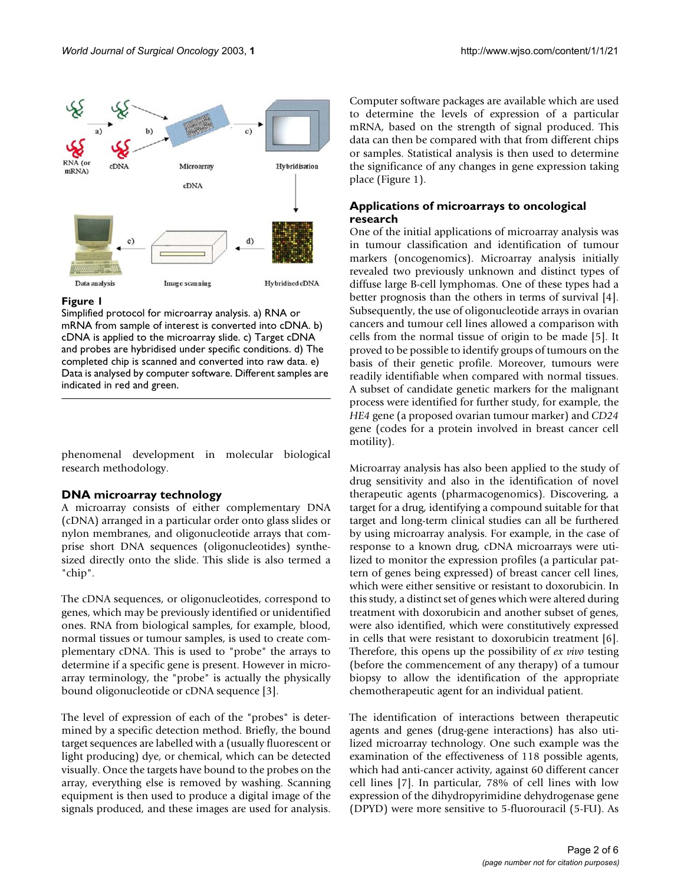

#### **Figure 1**

Simplified protocol for microarray analysis. a) RNA or mRNA from sample of interest is converted into cDNA. b) cDNA is applied to the microarray slide. c) Target cDNA and probes are hybridised under specific conditions. d) The completed chip is scanned and converted into raw data. e) Data is analysed by computer software. Different samples are indicated in red and green.

phenomenal development in molecular biological research methodology.

#### **DNA microarray technology**

A microarray consists of either complementary DNA (cDNA) arranged in a particular order onto glass slides or nylon membranes, and oligonucleotide arrays that comprise short DNA sequences (oligonucleotides) synthesized directly onto the slide. This slide is also termed a "chip".

The cDNA sequences, or oligonucleotides, correspond to genes, which may be previously identified or unidentified ones. RNA from biological samples, for example, blood, normal tissues or tumour samples, is used to create complementary cDNA. This is used to "probe" the arrays to determine if a specific gene is present. However in microarray terminology, the "probe" is actually the physically bound oligonucleotide or cDNA sequence [3].

The level of expression of each of the "probes" is determined by a specific detection method. Briefly, the bound target sequences are labelled with a (usually fluorescent or light producing) dye, or chemical, which can be detected visually. Once the targets have bound to the probes on the array, everything else is removed by washing. Scanning equipment is then used to produce a digital image of the signals produced, and these images are used for analysis.

Computer software packages are available which are used to determine the levels of expression of a particular mRNA, based on the strength of signal produced. This data can then be compared with that from different chips or samples. Statistical analysis is then used to determine the significance of any changes in gene expression taking place (Figure 1).

#### **Applications of microarrays to oncological research**

One of the initial applications of microarray analysis was in tumour classification and identification of tumour markers (oncogenomics). Microarray analysis initially revealed two previously unknown and distinct types of diffuse large B-cell lymphomas. One of these types had a better prognosis than the others in terms of survival [4]. Subsequently, the use of oligonucleotide arrays in ovarian cancers and tumour cell lines allowed a comparison with cells from the normal tissue of origin to be made [5]. It proved to be possible to identify groups of tumours on the basis of their genetic profile. Moreover, tumours were readily identifiable when compared with normal tissues. A subset of candidate genetic markers for the malignant process were identified for further study, for example, the *HE4* gene (a proposed ovarian tumour marker) and *CD24* gene (codes for a protein involved in breast cancer cell motility).

Microarray analysis has also been applied to the study of drug sensitivity and also in the identification of novel therapeutic agents (pharmacogenomics). Discovering, a target for a drug, identifying a compound suitable for that target and long-term clinical studies can all be furthered by using microarray analysis. For example, in the case of response to a known drug, cDNA microarrays were utilized to monitor the expression profiles (a particular pattern of genes being expressed) of breast cancer cell lines, which were either sensitive or resistant to doxorubicin. In this study, a distinct set of genes which were altered during treatment with doxorubicin and another subset of genes, were also identified, which were constitutively expressed in cells that were resistant to doxorubicin treatment [6]. Therefore, this opens up the possibility of *ex vivo* testing (before the commencement of any therapy) of a tumour biopsy to allow the identification of the appropriate chemotherapeutic agent for an individual patient.

The identification of interactions between therapeutic agents and genes (drug-gene interactions) has also utilized microarray technology. One such example was the examination of the effectiveness of 118 possible agents, which had anti-cancer activity, against 60 different cancer cell lines [7]. In particular, 78% of cell lines with low expression of the dihydropyrimidine dehydrogenase gene (DPYD) were more sensitive to 5-fluorouracil (5-FU). As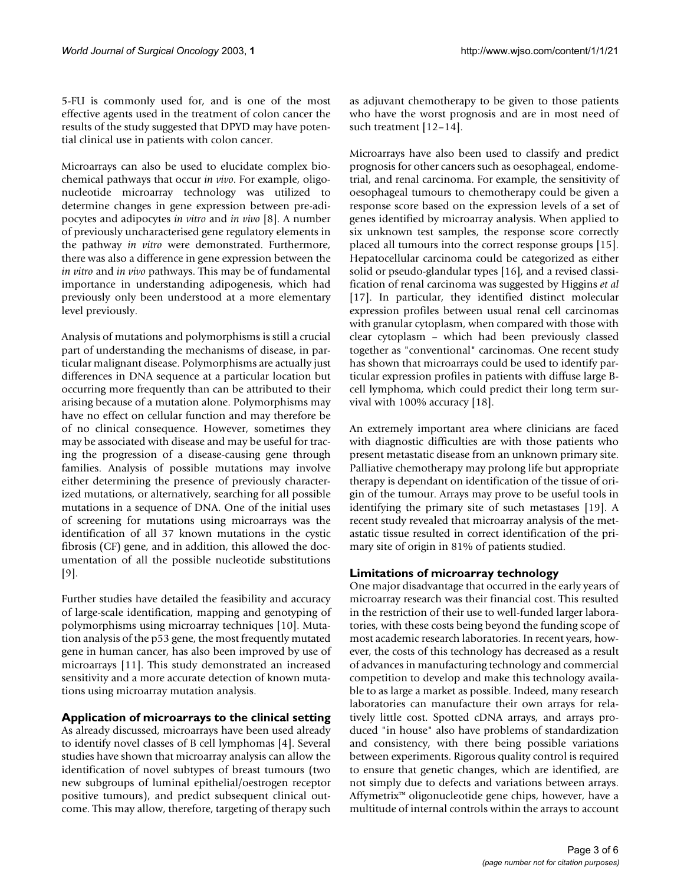5-FU is commonly used for, and is one of the most effective agents used in the treatment of colon cancer the results of the study suggested that DPYD may have potential clinical use in patients with colon cancer.

Microarrays can also be used to elucidate complex biochemical pathways that occur *in vivo*. For example, oligonucleotide microarray technology was utilized to determine changes in gene expression between pre-adipocytes and adipocytes *in vitro* and *in vivo* [8]. A number of previously uncharacterised gene regulatory elements in the pathway *in vitro* were demonstrated. Furthermore, there was also a difference in gene expression between the *in vitro* and *in vivo* pathways. This may be of fundamental importance in understanding adipogenesis, which had previously only been understood at a more elementary level previously.

Analysis of mutations and polymorphisms is still a crucial part of understanding the mechanisms of disease, in particular malignant disease. Polymorphisms are actually just differences in DNA sequence at a particular location but occurring more frequently than can be attributed to their arising because of a mutation alone. Polymorphisms may have no effect on cellular function and may therefore be of no clinical consequence. However, sometimes they may be associated with disease and may be useful for tracing the progression of a disease-causing gene through families. Analysis of possible mutations may involve either determining the presence of previously characterized mutations, or alternatively, searching for all possible mutations in a sequence of DNA. One of the initial uses of screening for mutations using microarrays was the identification of all 37 known mutations in the cystic fibrosis (CF) gene, and in addition, this allowed the documentation of all the possible nucleotide substitutions [9].

Further studies have detailed the feasibility and accuracy of large-scale identification, mapping and genotyping of polymorphisms using microarray techniques [10]. Mutation analysis of the p53 gene, the most frequently mutated gene in human cancer, has also been improved by use of microarrays [11]. This study demonstrated an increased sensitivity and a more accurate detection of known mutations using microarray mutation analysis.

### **Application of microarrays to the clinical setting**

As already discussed, microarrays have been used already to identify novel classes of B cell lymphomas [4]. Several studies have shown that microarray analysis can allow the identification of novel subtypes of breast tumours (two new subgroups of luminal epithelial/oestrogen receptor positive tumours), and predict subsequent clinical outcome. This may allow, therefore, targeting of therapy such

as adjuvant chemotherapy to be given to those patients who have the worst prognosis and are in most need of such treatment [12–14].

Microarrays have also been used to classify and predict prognosis for other cancers such as oesophageal, endometrial, and renal carcinoma. For example, the sensitivity of oesophageal tumours to chemotherapy could be given a response score based on the expression levels of a set of genes identified by microarray analysis. When applied to six unknown test samples, the response score correctly placed all tumours into the correct response groups [15]. Hepatocellular carcinoma could be categorized as either solid or pseudo-glandular types [16], and a revised classification of renal carcinoma was suggested by Higgins *et al* [17]. In particular, they identified distinct molecular expression profiles between usual renal cell carcinomas with granular cytoplasm, when compared with those with clear cytoplasm – which had been previously classed together as "conventional" carcinomas. One recent study has shown that microarrays could be used to identify particular expression profiles in patients with diffuse large Bcell lymphoma, which could predict their long term survival with 100% accuracy [18].

An extremely important area where clinicians are faced with diagnostic difficulties are with those patients who present metastatic disease from an unknown primary site. Palliative chemotherapy may prolong life but appropriate therapy is dependant on identification of the tissue of origin of the tumour. Arrays may prove to be useful tools in identifying the primary site of such metastases [19]. A recent study revealed that microarray analysis of the metastatic tissue resulted in correct identification of the primary site of origin in 81% of patients studied.

#### **Limitations of microarray technology**

One major disadvantage that occurred in the early years of microarray research was their financial cost. This resulted in the restriction of their use to well-funded larger laboratories, with these costs being beyond the funding scope of most academic research laboratories. In recent years, however, the costs of this technology has decreased as a result of advances in manufacturing technology and commercial competition to develop and make this technology available to as large a market as possible. Indeed, many research laboratories can manufacture their own arrays for relatively little cost. Spotted cDNA arrays, and arrays produced "in house" also have problems of standardization and consistency, with there being possible variations between experiments. Rigorous quality control is required to ensure that genetic changes, which are identified, are not simply due to defects and variations between arrays. Affymetrix™ oligonucleotide gene chips, however, have a multitude of internal controls within the arrays to account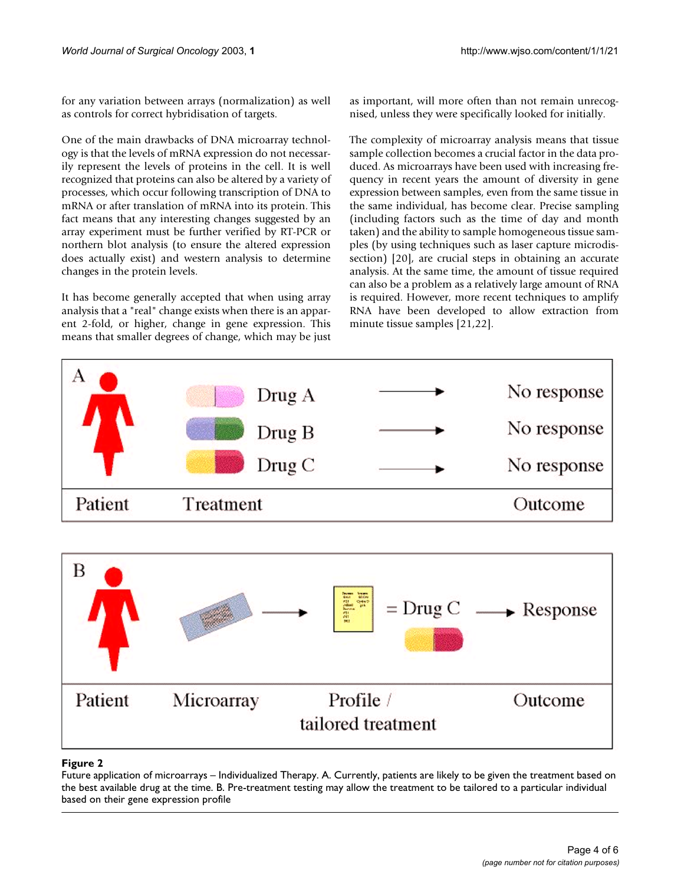for any variation between arrays (normalization) as well as controls for correct hybridisation of targets.

One of the main drawbacks of DNA microarray technology is that the levels of mRNA expression do not necessarily represent the levels of proteins in the cell. It is well recognized that proteins can also be altered by a variety of processes, which occur following transcription of DNA to mRNA or after translation of mRNA into its protein. This fact means that any interesting changes suggested by an array experiment must be further verified by RT-PCR or northern blot analysis (to ensure the altered expression does actually exist) and western analysis to determine changes in the protein levels.

It has become generally accepted that when using array analysis that a "real" change exists when there is an apparent 2-fold, or higher, change in gene expression. This means that smaller degrees of change, which may be just as important, will more often than not remain unrecognised, unless they were specifically looked for initially.

The complexity of microarray analysis means that tissue sample collection becomes a crucial factor in the data produced. As microarrays have been used with increasing frequency in recent years the amount of diversity in gene expression between samples, even from the same tissue in the same individual, has become clear. Precise sampling (including factors such as the time of day and month taken) and the ability to sample homogeneous tissue samples (by using techniques such as laser capture microdissection) [20], are crucial steps in obtaining an accurate analysis. At the same time, the amount of tissue required can also be a problem as a relatively large amount of RNA is required. However, more recent techniques to amplify RNA have been developed to allow extraction from minute tissue samples [21,22].





#### Figure 2

Future application of microarrays – Individualized Therapy. A. Currently, patients are likely to be given the treatment based on the best available drug at the time. B. Pre-treatment testing may allow the treatment to be tailored to a particular individual based on their gene expression profile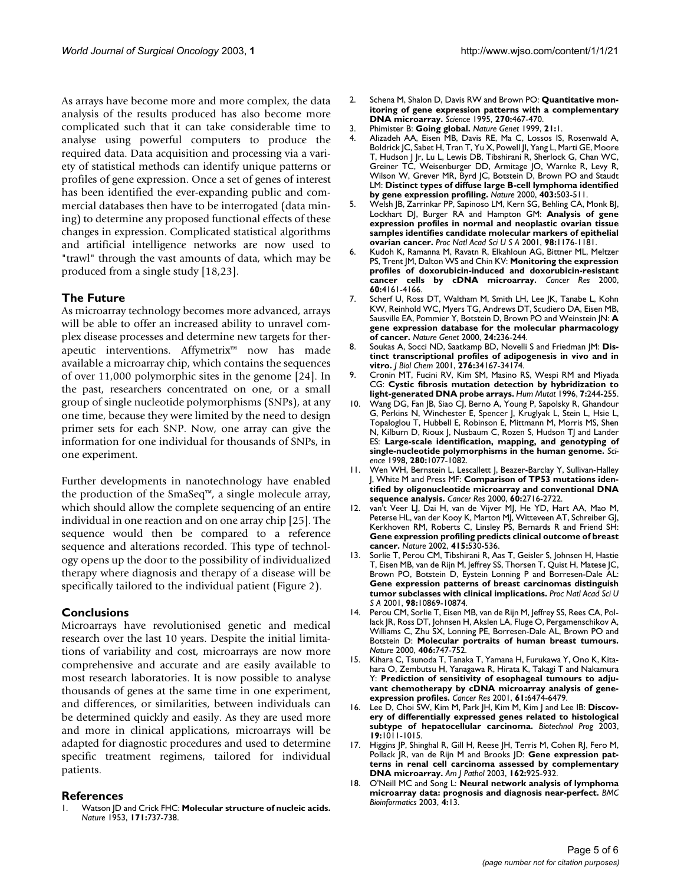As arrays have become more and more complex, the data analysis of the results produced has also become more complicated such that it can take considerable time to analyse using powerful computers to produce the required data. Data acquisition and processing via a variety of statistical methods can identify unique patterns or profiles of gene expression. Once a set of genes of interest has been identified the ever-expanding public and commercial databases then have to be interrogated (data mining) to determine any proposed functional effects of these changes in expression. Complicated statistical algorithms and artificial intelligence networks are now used to "trawl" through the vast amounts of data, which may be produced from a single study [18,23].

#### **The Future**

As microarray technology becomes more advanced, arrays will be able to offer an increased ability to unravel complex disease processes and determine new targets for therapeutic interventions. Affymetrix™ now has made available a microarray chip, which contains the sequences of over 11,000 polymorphic sites in the genome [24]. In the past, researchers concentrated on one, or a small group of single nucleotide polymorphisms (SNPs), at any one time, because they were limited by the need to design primer sets for each SNP. Now, one array can give the information for one individual for thousands of SNPs, in one experiment.

Further developments in nanotechnology have enabled the production of the SmaSeq™, a single molecule array, which should allow the complete sequencing of an entire individual in one reaction and on one array chip [25]. The sequence would then be compared to a reference sequence and alterations recorded. This type of technology opens up the door to the possibility of individualized therapy where diagnosis and therapy of a disease will be specifically tailored to the individual patient (Figure 2).

#### **Conclusions**

Microarrays have revolutionised genetic and medical research over the last 10 years. Despite the initial limitations of variability and cost, microarrays are now more comprehensive and accurate and are easily available to most research laboratories. It is now possible to analyse thousands of genes at the same time in one experiment, and differences, or similarities, between individuals can be determined quickly and easily. As they are used more and more in clinical applications, microarrays will be adapted for diagnostic procedures and used to determine specific treatment regimens, tailored for individual patients.

#### **References**

1. Watson JD and Crick FHC: **[Molecular structure of nucleic acids.](http://www.ncbi.nlm.nih.gov/entrez/query.fcgi?cmd=Retrieve&db=PubMed&dopt=Abstract&list_uids=13054692)** *Nature* 1953, **171:**737-738.

- 2. Schena M, Shalon D, Davis RW and Brown PO: **[Quantitative mon](http://www.ncbi.nlm.nih.gov/entrez/query.fcgi?cmd=Retrieve&db=PubMed&dopt=Abstract&list_uids=7569999)[itoring of gene expression patterns with a complementary](http://www.ncbi.nlm.nih.gov/entrez/query.fcgi?cmd=Retrieve&db=PubMed&dopt=Abstract&list_uids=7569999) [DNA microarray.](http://www.ncbi.nlm.nih.gov/entrez/query.fcgi?cmd=Retrieve&db=PubMed&dopt=Abstract&list_uids=7569999)** *Science* 1995, **270:**467-470.
- 3. Phimister B: **[Going global.](http://www.ncbi.nlm.nih.gov/entrez/query.fcgi?cmd=Retrieve&db=PubMed&dopt=Abstract&list_uids=10.1038/4423)** *Nature Genet* 1999, **21:**1.
- 4. Alizadeh AA, Eisen MB, Davis RE, Ma C, Lossos IS, Rosenwald A, Boldrick JC, Sabet H, Tran T, Yu X, Powell JI, Yang L, Marti GE, Moore T, Hudson J Jr, Lu L, Lewis DB, Tibshirani R, Sherlock G, Chan WC, Greiner TC, Weisenburger DD, Armitage JO, Warnke R, Levy R, Wilson W, Grever MR, Byrd JC, Botstein D, Brown PO and Staudt LM: **[Distinct types of diffuse large B-cell lymphoma identified](http://www.ncbi.nlm.nih.gov/entrez/query.fcgi?cmd=Retrieve&db=PubMed&dopt=Abstract&list_uids=10.1038/35000501) [by gene expression profiling](http://www.ncbi.nlm.nih.gov/entrez/query.fcgi?cmd=Retrieve&db=PubMed&dopt=Abstract&list_uids=10.1038/35000501)[.](http://www.ncbi.nlm.nih.gov/entrez/query.fcgi?cmd=Retrieve&db=PubMed&dopt=Abstract&list_uids=10676951)** *Nature* 2000, **403:**503-511.
- 5. Welsh JB, Zarrinkar PP, Sapinoso LM, Kern SG, Behling CA, Monk BJ, Lockhart DJ, Burger RA and Hampton GM: **[Analysis of gene](http://www.ncbi.nlm.nih.gov/entrez/query.fcgi?cmd=Retrieve&db=PubMed&dopt=Abstract&list_uids=14728) expression profiles in normal and neoplastic ovarian tissue [samples identifies candidate molecular markers of epithelial](http://www.ncbi.nlm.nih.gov/entrez/query.fcgi?cmd=Retrieve&db=PubMed&dopt=Abstract&list_uids=14728) [ovarian cancer](http://www.ncbi.nlm.nih.gov/entrez/query.fcgi?cmd=Retrieve&db=PubMed&dopt=Abstract&list_uids=14728)[.](http://www.ncbi.nlm.nih.gov/entrez/query.fcgi?cmd=Retrieve&db=PubMed&dopt=Abstract&list_uids=10.1073/pnas.98.3.1176)** *Proc Natl Acad Sci U S A* 2001, **98:**1176-1181.
- 6. Kudoh K, Ramanna M, Ravatn R, Elkahloun AG, Bittner ML, Meltzer PS, Trent JM, Dalton WS and Chin KV: **[Monitoring the expression](http://www.ncbi.nlm.nih.gov/entrez/query.fcgi?cmd=Retrieve&db=PubMed&dopt=Abstract&list_uids=10945624) [profiles of doxorubicin-induced and doxorubicin-resistant](http://www.ncbi.nlm.nih.gov/entrez/query.fcgi?cmd=Retrieve&db=PubMed&dopt=Abstract&list_uids=10945624) [cancer cells by cDNA microarray.](http://www.ncbi.nlm.nih.gov/entrez/query.fcgi?cmd=Retrieve&db=PubMed&dopt=Abstract&list_uids=10945624)** *Cancer Res* 2000, **60:**4161-4166.
- 7. Scherf U, Ross DT, Waltham M, Smith LH, Lee JK, Tanabe L, Kohn KW, Reinhold WC, Myers TG, Andrews DT, Scudiero DA, Eisen MB, Sausville EA, Pommier Y, Botstein D, Brown PO and Weinstein JN: **[A](http://www.ncbi.nlm.nih.gov/entrez/query.fcgi?cmd=Retrieve&db=PubMed&dopt=Abstract&list_uids=10.1038/73439) [gene expression database for the molecular pharmacology](http://www.ncbi.nlm.nih.gov/entrez/query.fcgi?cmd=Retrieve&db=PubMed&dopt=Abstract&list_uids=10.1038/73439) [of cancer](http://www.ncbi.nlm.nih.gov/entrez/query.fcgi?cmd=Retrieve&db=PubMed&dopt=Abstract&list_uids=10.1038/73439)[.](http://www.ncbi.nlm.nih.gov/entrez/query.fcgi?cmd=Retrieve&db=PubMed&dopt=Abstract&list_uids=10700175)** *Nature Genet* 2000, **24:**236-244.
- 8. Soukas A, Socci ND, Saatkamp BD, Novelli S and Friedman JM: **[Dis](http://www.ncbi.nlm.nih.gov/entrez/query.fcgi?cmd=Retrieve&db=PubMed&dopt=Abstract&list_uids=10.1074/jbc.M104421200)[tinct transcriptional profiles of adipogenesis in vivo and in](http://www.ncbi.nlm.nih.gov/entrez/query.fcgi?cmd=Retrieve&db=PubMed&dopt=Abstract&list_uids=10.1074/jbc.M104421200) [vitro](http://www.ncbi.nlm.nih.gov/entrez/query.fcgi?cmd=Retrieve&db=PubMed&dopt=Abstract&list_uids=10.1074/jbc.M104421200)[.](http://www.ncbi.nlm.nih.gov/entrez/query.fcgi?cmd=Retrieve&db=PubMed&dopt=Abstract&list_uids=11445576)** *J Biol Chem* 2001, **276:**34167-34174.
- 9. Cronin MT, Fucini RV, Kim SM, Masino RS, Wespi RM and Miyada CG: **[Cystic fibrosis mutation detection by hybridization to](http://www.ncbi.nlm.nih.gov/entrez/query.fcgi?cmd=Retrieve&db=PubMed&dopt=Abstract&list_uids=10.1002/(SICI)1098-1004(1996)7:3<244::AID-HUMU9>3.3.CO;2-D) [light-generated DNA probe arrays](http://www.ncbi.nlm.nih.gov/entrez/query.fcgi?cmd=Retrieve&db=PubMed&dopt=Abstract&list_uids=10.1002/(SICI)1098-1004(1996)7:3<244::AID-HUMU9>3.3.CO;2-D)[.](http://www.ncbi.nlm.nih.gov/entrez/query.fcgi?cmd=Retrieve&db=PubMed&dopt=Abstract&list_uids=8829658)** *Hum Mutat* 1996, **7:**244-255.
- 10. Wang DG, Fan JB, Siao CJ, Berno A, Young P, Sapolsky R, Ghandour G, Perkins N, Winchester E, Spencer J, Kruglyak L, Stein L, Hsie L, Topaloglou T, Hubbell E, Robinson E, Mittmann M, Morris MS, Shen N, Kilburn D, Rioux J, Nusbaum C, Rozen S, Hudson TJ and Lander ES: **[Large-scale identification, mapping, and genotyping of](http://www.ncbi.nlm.nih.gov/entrez/query.fcgi?cmd=Retrieve&db=PubMed&dopt=Abstract&list_uids=10.1126/science.280.5366.1077) [single-nucleotide polymorphisms in the human genome](http://www.ncbi.nlm.nih.gov/entrez/query.fcgi?cmd=Retrieve&db=PubMed&dopt=Abstract&list_uids=10.1126/science.280.5366.1077)[.](http://www.ncbi.nlm.nih.gov/entrez/query.fcgi?cmd=Retrieve&db=PubMed&dopt=Abstract&list_uids=9582121)** *Science* 1998, **280:**1077-1082.
- 11. Wen WH, Bernstein L, Lescallett J, Beazer-Barclay Y, Sullivan-Halley J, White M and Press MF: **[Comparison of TP53 mutations iden](http://www.ncbi.nlm.nih.gov/entrez/query.fcgi?cmd=Retrieve&db=PubMed&dopt=Abstract&list_uids=10825146)[tified by oligonucleotide microarray and conventional DNA](http://www.ncbi.nlm.nih.gov/entrez/query.fcgi?cmd=Retrieve&db=PubMed&dopt=Abstract&list_uids=10825146) [sequence analysis.](http://www.ncbi.nlm.nih.gov/entrez/query.fcgi?cmd=Retrieve&db=PubMed&dopt=Abstract&list_uids=10825146)** *Cancer Res* 2000, **60:**2716-2722.
- 12. van't Veer LJ, Dai H, van de Vijver MJ, He YD, Hart AA, Mao M, Peterse HL, van der Kooy K, Marton MJ, Witteveen AT, Schreiber GJ, Kerkhoven RM, Roberts C, Linsley PS, Bernards R and Friend SH: **[Gene expression profiling predicts clinical outcome of breast](http://www.ncbi.nlm.nih.gov/entrez/query.fcgi?cmd=Retrieve&db=PubMed&dopt=Abstract&list_uids=10.1038/415530a) [cancer](http://www.ncbi.nlm.nih.gov/entrez/query.fcgi?cmd=Retrieve&db=PubMed&dopt=Abstract&list_uids=10.1038/415530a)[.](http://www.ncbi.nlm.nih.gov/entrez/query.fcgi?cmd=Retrieve&db=PubMed&dopt=Abstract&list_uids=11823860)** *Nature* 2002, **415:**530-536.
- 13. Sorlie T, Perou CM, Tibshirani R, Aas T, Geisler S, Johnsen H, Hastie T, Eisen MB, van de Rijn M, Jeffrey SS, Thorsen T, Quist H, Matese JC, Brown PO, Botstein D, Eystein Lonning P and Borresen-Dale AL: **[Gene expression patterns of breast carcinomas distinguish](http://www.ncbi.nlm.nih.gov/entrez/query.fcgi?cmd=Retrieve&db=PubMed&dopt=Abstract&list_uids=58566) [tumor subclasses with clinical implications](http://www.ncbi.nlm.nih.gov/entrez/query.fcgi?cmd=Retrieve&db=PubMed&dopt=Abstract&list_uids=58566)[.](http://www.ncbi.nlm.nih.gov/entrez/query.fcgi?cmd=Retrieve&db=PubMed&dopt=Abstract&list_uids=10.1073/pnas.191367098)** *Proc Natl Acad Sci U S A* 2001, **98:**10869-10874.
- 14. Perou CM, Sorlie T, Eisen MB, van de Rijn M, Jeffrey SS, Rees CA, Pollack JR, Ross DT, Johnsen H, Akslen LA, Fluge O, Pergamenschikov A, Williams C, Zhu SX, Lonning PE, Borresen-Dale AL, Brown PO and Botstein D: **[Molecular portraits of human breast tumours](http://www.ncbi.nlm.nih.gov/entrez/query.fcgi?cmd=Retrieve&db=PubMed&dopt=Abstract&list_uids=10.1038/35021093)[.](http://www.ncbi.nlm.nih.gov/entrez/query.fcgi?cmd=Retrieve&db=PubMed&dopt=Abstract&list_uids=10963602)** *Nature* 2000, **406:**747-752.
- 15. Kihara C, Tsunoda T, Tanaka T, Yamana H, Furukawa Y, Ono K, Kitahara O, Zembutsu H, Yanagawa R, Hirata K, Takagi T and Nakamura Y: **[Prediction of sensitivity of esophageal tumours to adju](http://www.ncbi.nlm.nih.gov/entrez/query.fcgi?cmd=Retrieve&db=PubMed&dopt=Abstract&list_uids=11522643)[vant chemotherapy by cDNA microarray analysis of gene](http://www.ncbi.nlm.nih.gov/entrez/query.fcgi?cmd=Retrieve&db=PubMed&dopt=Abstract&list_uids=11522643)[expression profiles.](http://www.ncbi.nlm.nih.gov/entrez/query.fcgi?cmd=Retrieve&db=PubMed&dopt=Abstract&list_uids=11522643)** *Cancer Res* 2001, **61:**6474-6479.
- 16. Lee D, Choi SW, Kim M, Park JH, Kim M, Kim J and Lee IB: **[Discov](http://www.ncbi.nlm.nih.gov/entrez/query.fcgi?cmd=Retrieve&db=PubMed&dopt=Abstract&list_uids=10.1021/bp025746a)[ery of differentially expressed genes related to histological](http://www.ncbi.nlm.nih.gov/entrez/query.fcgi?cmd=Retrieve&db=PubMed&dopt=Abstract&list_uids=10.1021/bp025746a) [subtype of hepatocellular carcinoma](http://www.ncbi.nlm.nih.gov/entrez/query.fcgi?cmd=Retrieve&db=PubMed&dopt=Abstract&list_uids=10.1021/bp025746a)[.](http://www.ncbi.nlm.nih.gov/entrez/query.fcgi?cmd=Retrieve&db=PubMed&dopt=Abstract&list_uids=12790669)** *Biotechnol Prog* 2003, **19:**1011-1015.
- 17. Higgins JP, Shinghal R, Gill H, Reese JH, Terris M, Cohen RJ, Fero M, Pollack JR, van de Rijn M and Brooks JD: **[Gene expression pat](http://www.ncbi.nlm.nih.gov/entrez/query.fcgi?cmd=Retrieve&db=PubMed&dopt=Abstract&list_uids=12598325)[terns in renal cell carcinoma assessed by complementary](http://www.ncbi.nlm.nih.gov/entrez/query.fcgi?cmd=Retrieve&db=PubMed&dopt=Abstract&list_uids=12598325) [DNA microarray.](http://www.ncbi.nlm.nih.gov/entrez/query.fcgi?cmd=Retrieve&db=PubMed&dopt=Abstract&list_uids=12598325)** *Am J Pathol* 2003, **162:**925-932.
- 18. O'Neill MC and Song L: **[Neural network analysis of lymphoma](http://www.ncbi.nlm.nih.gov/entrez/query.fcgi?cmd=Retrieve&db=PubMed&dopt=Abstract&list_uids=155539) [microarray data: prognosis and diagnosis near-perfect](http://www.ncbi.nlm.nih.gov/entrez/query.fcgi?cmd=Retrieve&db=PubMed&dopt=Abstract&list_uids=155539)[.](http://www.ncbi.nlm.nih.gov/entrez/query.fcgi?cmd=Retrieve&db=PubMed&dopt=Abstract&list_uids=10.1186/1471-2105-4-13)** *BMC Bioinformatics* 2003, **4:**13.